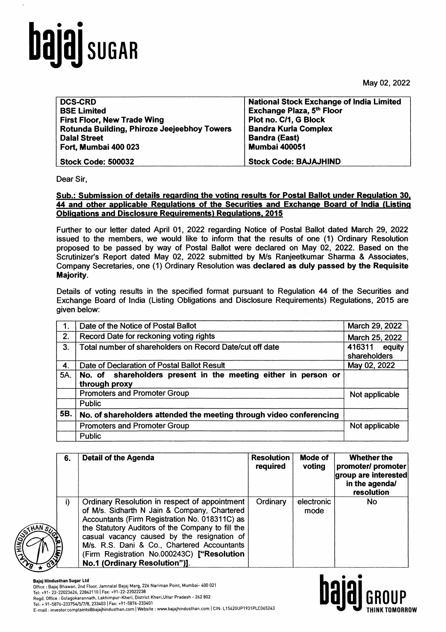

May02, 2022

| <b>DCS-CRD</b>                              | <b>National Stock Exchange of India Limited</b> |
|---------------------------------------------|-------------------------------------------------|
| <b>BSE Limited</b>                          | Exchange Plaza, 5th Floor                       |
| <b>First Floor, New Trade Wing</b>          | Plot no. C/1, G Block                           |
| Rotunda Building, Phiroze Jeejeebhoy Towers | <b>Bandra Kurla Complex</b>                     |
| <b>Dalal Street</b>                         | <b>Bandra (East)</b>                            |
| Fort, Mumbai 400 023                        | <b>Mumbai 400051</b>                            |
|                                             |                                                 |
| <b>Stock Code: 500032</b>                   | <b>Stock Code: BAJAJHIND</b>                    |

Dear Sir,

#### Sub.: Submission of details regarding the votina results for Postal Ballot under Reaulation 30. 44 and other applicable Regulations of the Securities and Exchange Board of India (Listing Obligations and Disclosure Reauirements) Regulations. 2015

Further to our letter dated April 01, 2022 regarding Notice of Postal Ballot dated March 29, 2022 issued to the members, we would like to inform that the results of one (1) Ordinary Resolution proposed to be passed by way of Postal Ballot were declared on May 02, 2022. Based on the Scrutinizer's Report dated May 02, 2022 submitted by M/s Ranjeetkumar Sharma & Associates, Company Secretaries, one (1) Ordinary Resolution was declared as duly passed by the Requisite Majority.

Details of voting results in the specified format pursuant to Regulation 44 of the Securities and Exchange Board of India (Listing Obligations and Disclosure Requirements) Regulations, 2015 are given below:

|     | Date of the Notice of Postal Ballot                                 | March 29, 2022 |
|-----|---------------------------------------------------------------------|----------------|
| 2.  | Record Date for reckoning voting rights                             | March 25, 2022 |
| 3.  | Total number of shareholders on Record Date/cut off date            | 416311 equity  |
|     |                                                                     | shareholders   |
| 4.  | Date of Declaration of Postal Ballot Result                         | May 02, 2022   |
| 5A. | No. of shareholders present in the meeting either in person or      |                |
|     | through proxy                                                       |                |
|     | Promoters and Promoter Group                                        | Not applicable |
|     | Public                                                              |                |
| 5B. | No. of shareholders attended the meeting through video conferencing |                |
|     | Promoters and Promoter Group                                        | Not applicable |
|     | Public                                                              |                |

|                | 6. | <b>Detail of the Agenda</b>                                                                                                                                                                                                                                                                                                                                                        | <b>Resolution</b><br>required | Mode of<br>voting  | Whether the<br>promoter/ promoter<br>group are interested<br>in the agendal<br>resolution |
|----------------|----|------------------------------------------------------------------------------------------------------------------------------------------------------------------------------------------------------------------------------------------------------------------------------------------------------------------------------------------------------------------------------------|-------------------------------|--------------------|-------------------------------------------------------------------------------------------|
| SSTHAN BY<br>袗 | i) | Ordinary Resolution in respect of appointment<br>of M/s. Sidharth N Jain & Company, Chartered<br>Accountants (Firm Registration No. 018311C) as<br>the Statutory Auditors of the Company to fill the<br>casual vacancy caused by the resignation of<br>M/s. R.S. Dani & Co., Chartered Accountants<br>(Firm Registration No.000243C) ["Resolution<br>No.1 (Ordinary Resolution")]. | Ordinary                      | electronic<br>mode | <b>No</b>                                                                                 |

**ba** 

Bajaj Hindusthan Sugar Ltd

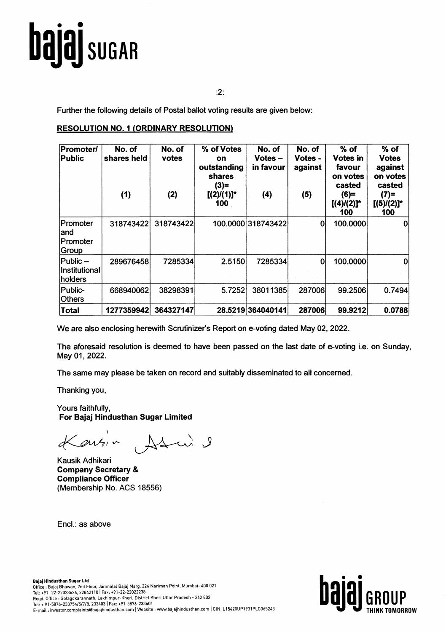

:2:

Further the following details of Postal ballot voting results are given below:

### RESOLUTION NO. 1 (ORDINARY RESOLUTION)

| Promoter/<br>Public                          | No. of<br>shares held<br>(1) | No. of<br>votes<br>(2) | % of Votes<br><b>on</b><br>outstanding<br>shares<br>$(3)=$<br>$[(2) / (1)]^*$<br>100 | No. of<br>Votes –<br>in favour<br>(4) | No. of<br>Votes -<br>against<br>(5) | $%$ of<br><b>Votes in</b><br>favour<br>on votes<br>casted<br>$(6)=$<br>$[(4)/(2)]^*$<br>100 | $%$ of<br><b>Votes</b><br>against<br>on votes<br>casted<br>$(7)=$<br>$[(5)/(2)]^*$<br>100 |
|----------------------------------------------|------------------------------|------------------------|--------------------------------------------------------------------------------------|---------------------------------------|-------------------------------------|---------------------------------------------------------------------------------------------|-------------------------------------------------------------------------------------------|
| <b>Promoter</b><br>land<br>Promoter<br>Group | 318743422                    | 318743422              |                                                                                      | 100.0000 318743422                    | $\mathbf{0}$                        | 100.0000                                                                                    |                                                                                           |
| $Pubic -$<br>Institutional<br>holders        | 289676458                    | 7285334                | 2.5150                                                                               | 7285334                               | $\mathbf{0}$                        | 100.0000                                                                                    |                                                                                           |
| Public-<br>Others                            | 668940062                    | 38298391               | 5.7252                                                                               | 38011385                              | 287006                              | 99.2506                                                                                     | 0.7494                                                                                    |
| <b>Total</b>                                 | 1277359942                   | 364327147              |                                                                                      | 28.5219 364040141                     | 287006                              | 99.9212                                                                                     | 0.0788                                                                                    |

We are also enclosing herewith Scrutinizer's Report on e-voting dated May 02, 2022.

The aforesaid resolution is deemed to have been passed on the last date of e-voting i.e. on Sunday, May 01, 2022.

The same may please be taken on record and suitably disseminated to all concerned.

Thanking you,

Yours faithfully, For Bajaj Hindusthan Sugar Limited

Karsin Asuis

Kausik Adhikari Company Secretary & Compliance Officer (Membership No. ACS 18556)

Encl.: as above

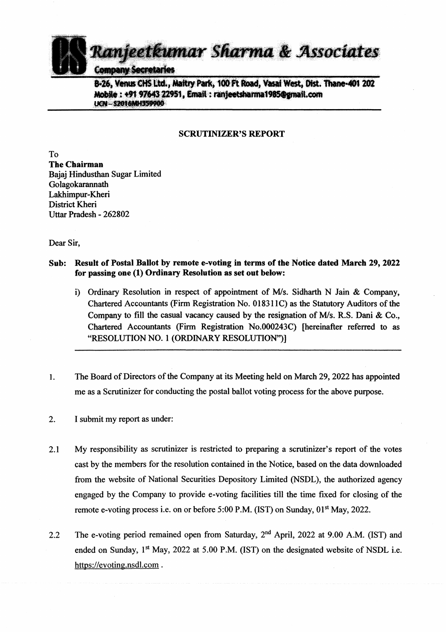

B-26, Venus CHS Ltd., Maitry Park, 100 Ft Road, Vasai West, Dist. Thane-401 202 Mobile: +91 97643 22951. Email: ranieetsharma1985@gmail.com UCN-S2016MH359900

#### SCRUTINIZER'S REPORT

To **The Chairman** Bajaj Hindusthan Sugar Limited Golagokarannath Lakhimpur-Kheri District Kheri Uttar Pradesh - 262802

Dear Sir,

#### Sub: Result of Postal Ballot by remote e-voting in terms of the Notice dated March 29, 2022 for passing one (1) Ordinary Resolution as set out below:

- i} Ordinary Resolution in respect of appointment of M/s. Sidharth N Jain & Company, Chartered Accountants (Firm Registration No. 018311C) as the Statutory Auditors of the Company to fill the casual vacancy caused by the resignation of M/s. R.S. Dani & Co., Chartered Accountants (Firm Registration No.000243C) [hereinafter referred to as "RESOLUTION NO. 1 (ORDINARY RESOLUTION")]
- 1. The Board of Directors of the Company at its Meeting held on March 29,2022 has appointed me as a Scrutinizer for conducting the postal ballot voting process for the above purpose.
- 2. I submit my report as under:
- 2.1 My responsibility as scrutinizer is restricted to preparing a scrutinizer's report of the votes cast by the members for the resolution contained in the Notice, based on the data downloaded from the website of National Securities Depository Limited (NSDL), the authorized agency engaged by the Company to provide e-voting facilities till the time fixed for closing of the remote e-voting process i.e. on or before 5:00 P.M. (IST) on Sunday,  $01<sup>st</sup>$  May, 2022.
- 2.2 The e-voting period remained open from Saturday,  $2<sup>nd</sup>$  April, 2022 at 9.00 A.M. (IST) and ended on Sunday,  $1<sup>st</sup>$  May, 2022 at 5.00 P.M. (IST) on the designated website of NSDL i.e. https://evoting.nsdl.com.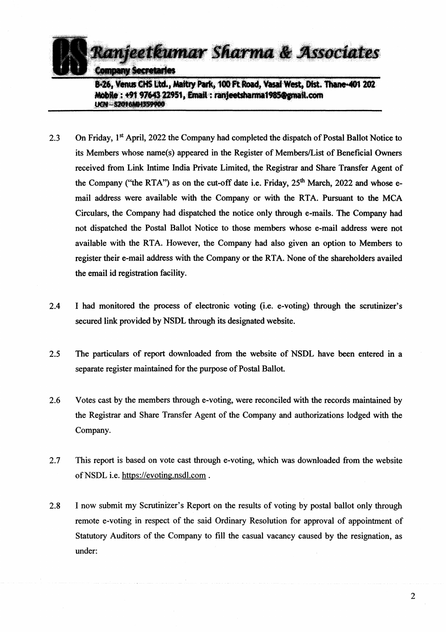

B-26, Venus CHS Ltd., Maitry Park, 100 Ft Road, Vasal West, Dist. Thane-401 202 Mobile: +91 97643 22951. Email: ranieetsharma1985@gmail.com UCN-S2016MH359900

- 2.3 On Friday,  $1<sup>st</sup>$  April, 2022 the Company had completed the dispatch of Postal Ballot Notice to its Members whose name(s) appeared in the Register of Members/List of Beneficial Owners received from Link Intime India Private Limited, the Registrar and Share Transfer Agent of the Company ("the RTA") as on the cut-off date i.e. Friday,  $25<sup>th</sup>$  March, 2022 and whose email address were available with the Company or with the RTA. Pursuant to the MCA Circulars, the Company had dispatched the notice only through e-mails. The Company had not dispatched the Postal Ballot Notice to those members whose e-mail address were not available with the RTA. However, the Company had also given an option to Members to register their e-mail address with the Company or the RTA. None of the shareholders availed the email id registration facility.
- 2.4 I had monitored the process of electronic voting (i.e. e-voting) through the scrutinizer's secured link provided by NSDL through its designated website.
- 2.5 The particulars of report downloaded from the website of NSDL have been entered in a separate register maintained for the purpose of Postal Ballot.
- 2.6 Votes cast by the members through e-voting, were reconciled with the records maintained by the Registrar and Share Transfer Agent of the Company and authorizations lodged with the Company.
- 2.7 This report is based on vote cast through e-voting, which was downloaded from the website ofNSDL i.e. https://evoting.nsdl.com .
- 2.8 I now submit my Scrutinizer's Report on the results of voting by postal ballot only through remote e-voting in respect of the said Ordinary Resolution for approval of appointment of Statutory Auditors of the Company to fill the casual vacancy caused by the resignation, as under: